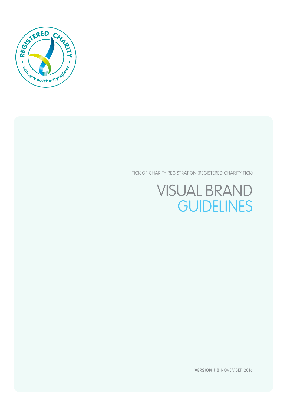

TICK OF CHARITY REGISTRATION (REGISTERED CHARITY TICK)

# VISUAL BRAND **GUIDELINES**

**VERSION 1.0** NOVEMBER 2016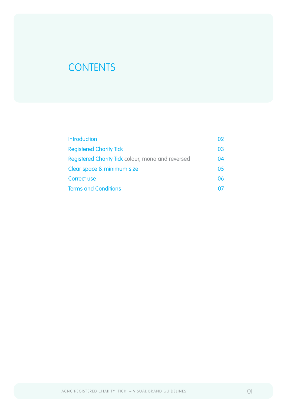# **CONTENTS**

| <b>Introduction</b>                               | 02 |
|---------------------------------------------------|----|
| <b>Registered Charity Tick</b>                    | 03 |
| Registered Charity Tick colour, mono and reversed | 04 |
| Clear space & minimum size                        | 05 |
| <b>Correct use</b>                                | 06 |
| <b>Terms and Conditions</b>                       |    |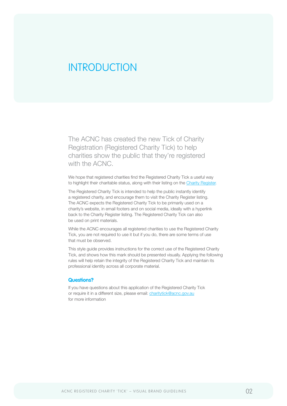# <span id="page-2-0"></span>INTRODUCTION

The ACNC has created the new Tick of Charity Registration (Registered Charity Tick) to help charities show the public that they're registered with the ACNC.

We hope that registered charities find the Registered Charity Tick a useful way to highlight their charitable status, along with their listing on the [Charity Register](http://www.acnc.gov.au/charityregister).

The Registered Charity Tick is intended to help the public instantly identify a registered charity, and encourage them to visit the Charity Register listing. The ACNC expects the Registered Charity Tick to be primarily used on a charity's website, in email footers and on social media, ideally with a hyperlink back to the Charity Register listing. The Registered Charity Tick can also be used on print materials.

While the ACNC encourages all registered charities to use the Registered Charity Tick, you are not required to use it but if you do, there are some terms of use that must be observed.

This style guide provides instructions for the correct use of the Registered Charity Tick, and shows how this mark should be presented visually. Applying the following rules will help retain the integrity of the Registered Charity Tick and maintain its professional identity across all corporate material.

#### **Questions?**

If you have questions about this application of the Registered Charity Tick or require it in a different size, please email: [charitytick@acnc.gov.au](http://charitytick@acnc.gov.au) for more information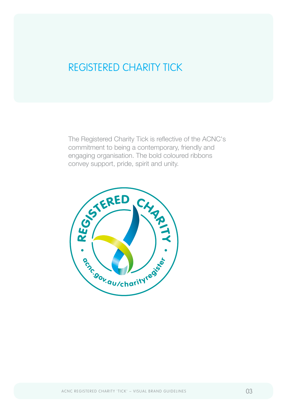# <span id="page-3-0"></span>REGISTERED CHARITY TICK

The Registered Charity Tick is reflective of the ACNC's commitment to being a contemporary, friendly and engaging organisation. The bold coloured ribbons convey support, pride, spirit and unity.

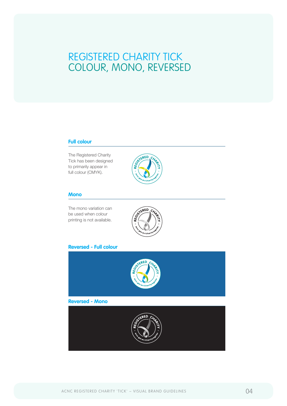# <span id="page-4-0"></span>REGISTERED CHARITY TICK COLOUR, MONO, REVERSED

# **Full colour**

The Registered Charity Tick has been designed to primarily appear in full colour (CMYK).



## **Mono**

The mono variation can be used when colour printing is not available.



# **Reversed - Full colour**

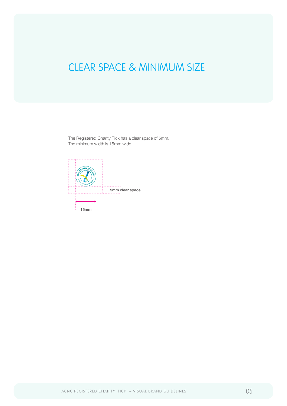# <span id="page-5-0"></span>CLEAR SPACE & MINIMUM SIZE

The Registered Charity Tick has a clear space of 5mm. The minimum width is 15mm wide.

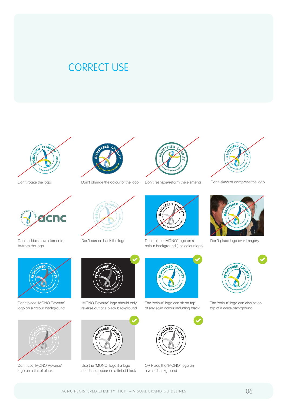# <span id="page-6-0"></span>CORRECT USE



Don't rotate the logo



to/from the logo



Don't place 'MONO Reverse' logo on a colour background



Don't use 'MONO Reverse' logo on a tint of black







'MONO Reverse' logo should only reverse out of a black background



Use the 'MONO' logo if a logo needs to appear on a tint of black



Don't change the colour of the logo Don't reshape/reform the elements



Don't place 'MONO' logo on a colour background (use colour logo) Don't add/remove elements Don't screen back the logo Don't place 'MONO' logo on a Don't place logo over imagery



The 'colour' logo can sit on top of any solid colour including black



OR Place the 'MONO' logo on a white background



Don't skew or compress the logo





The 'colour' logo can also sit on top of a white background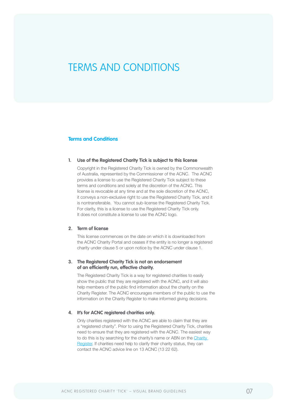# TERMS AND CONDITIONS

## **Terms and Conditions**

#### **1. Use of the Registered Charity Tick is subject to this license**

Copyright in the Registered Charity Tick is owned by the Commonwealth of Australia, represented by the Commissioner of the ACNC. The ACNC provides a license to use the Registered Charity Tick subject to these terms and conditions and solely at the discretion of the ACNC. This license is revocable at any time and at the sole discretion of the ACNC, it conveys a non-exclusive right to use the Registered Charity Tick, and it is nontransferable. You cannot sub-license the Registered Charity Tick. For clarity, this is a license to use the Registered Charity Tick only. It does not constitute a license to use the ACNC logo.

## **2. Term of license**

This license commences on the date on which it is downloaded from the ACNC Charity Portal and ceases if the entity is no longer a registered charity under clause 5 or upon notice by the ACNC under clause 1.

# **3. The Registered Charity Tick is not an endorsement of an efficiently run, effective charity.**

The Registered Charity Tick is a way for registered charities to easily show the public that they are registered with the ACNC, and it will also help members of the public find information about the charity on the Charity Register. The ACNC encourages members of the public to use the information on the Charity Register to make informed giving decisions.

### **4. It's for ACNC registered charities only.**

Only charities registered with the ACNC are able to claim that they are a "registered charity". Prior to using the Registered Charity Tick, charities need to ensure that they are registered with the ACNC. The easiest way to do this is by searching for the charity's name or ABN on the Charity [Register](http://www.acnc.gov.au/charityregister). If charities need help to clarify their charity status, they can contact the ACNC advice line on 13 ACNC (13 22 62).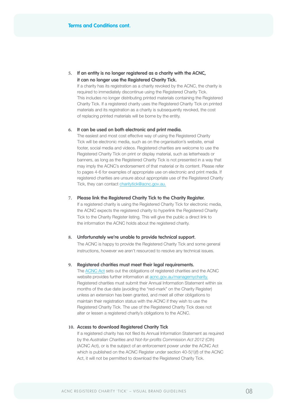**5. If an entity is no longer registered as a charity with the ACNC, it can no longer use the Registered Charity Tick.**

If a charity has its registration as a charity revoked by the ACNC, the charity is required to immediately discontinue using the Registered Charity Tick. This includes no longer distributing printed materials containing the Registered Charity Tick. If a registered charity uses the Registered Charity Tick on printed materials and its registration as a charity is subsequently revoked, the cost of replacing printed materials will be borne by the entity.

### **6. It can be used on both electronic and print media.**

The easiest and most cost effective way of using the Registered Charity Tick will be electronic media, such as on the organisation's website, email footer, social media and videos. Registered charities are welcome to use the Registered Charity Tick on print or display material, such as letterheads or banners, as long as the Registered Charity Tick is not presented in a way that may imply the ACNC's endorsement of that material or its content. Please refer to pages 4-6 for examples of appropriate use on electronic and print media. If registered charities are unsure about appropriate use of the Registered Charity Tick, they can contact [charitytick@acnc.gov.au.](mailto:charitytick@acnc.gov.au)

## **7. Please link the Registered Charity Tick to the Charity Register.**

If a registered charity is using the Registered Charity Tick for electronic media, the ACNC expects the registered charity to hyperlink the Registered Charity Tick to the Charity Register listing. This will give the public a direct link to the information the ACNC holds about the registered charity.

#### **8. Unfortunately we're unable to provide technical support.**

The ACNC is happy to provide the Registered Charity Tick and some general instructions, however we aren't resourced to resolve any technical issues.

#### **9. Registered charities must meet their legal requirements.**

The [ACNC Act](https://www.acnc.gov.au/about/acnc-legislation) sets out the obligations of registered charities and the ACNC website provides further information at [acnc.gov.au/managemycharity.](http://www.acnc.gov.au/managemycharity) Registered charities must submit their Annual Information Statement within six months of the due date (avoiding the "red-mark" on the Charity Register) unless an extension has been granted, and meet all other obligations to maintain their registration status with the ACNC if they wish to use the Registered Charity Tick. The use of the Registered Charity Tick does not alter or lessen a registered charity's obligations to the ACNC.

### **10. Access to download Registered Charity Tick**

If a registered charity has not filed its Annual Information Statement as required by the Australian Charities and Not-for-profits Commission Act 2012 (Cth) (ACNC Act), or is the subject of an enforcement power under the ACNC Act which is published on the ACNC Register under section 40-5(1)(f) of the ACNC Act, it will not be permitted to download the Registered Charity Tick.